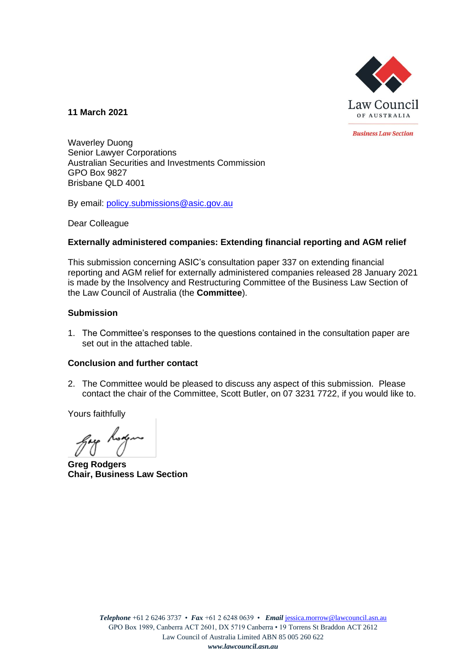

**11 March 2021**

**Business Law Section** 

Waverley Duong Senior Lawyer Corporations Australian Securities and Investments Commission GPO Box 9827 Brisbane QLD 4001

By email: [policy.submissions@asic.gov.au](mailto:policy.submissions@asic.gov.au)

Dear Colleague

## **Externally administered companies: Extending financial reporting and AGM relief**

This submission concerning ASIC's consultation paper 337 on extending financial reporting and AGM relief for externally administered companies released 28 January 2021 is made by the Insolvency and Restructuring Committee of the Business Law Section of the Law Council of Australia (the **Committee**).

## **Submission**

1. The Committee's responses to the questions contained in the consultation paper are set out in the attached table.

## **Conclusion and further contact**

2. The Committee would be pleased to discuss any aspect of this submission. Please contact the chair of the Committee, Scott Butler, on 07 3231 7722, if you would like to.

Yours faithfully

gay hoxym

**Greg Rodgers Chair, Business Law Section**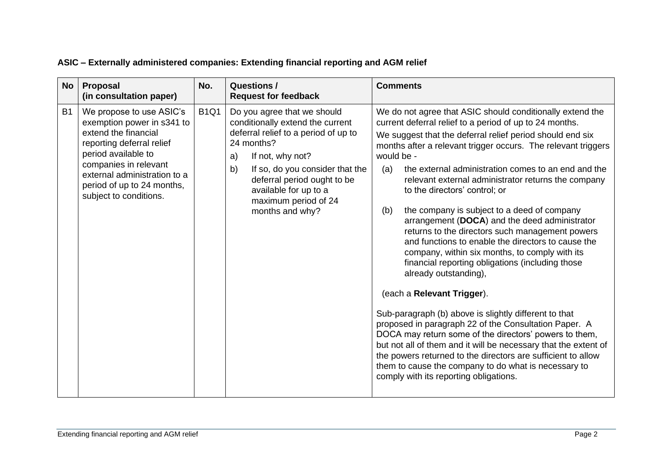| <b>No</b> | <b>Proposal</b><br>(in consultation paper)                                                                                                                                                                                                          | No.         | <b>Questions /</b><br><b>Request for feedback</b>                                                                                                                                                                                                                                           | <b>Comments</b>                                                                                                                                                                                                                                                                                                                                                                                                                                                                                                                                                                                                                                                                                                                                                                                                                                                                                                                                                                                                                                                                                                                                                                                                      |
|-----------|-----------------------------------------------------------------------------------------------------------------------------------------------------------------------------------------------------------------------------------------------------|-------------|---------------------------------------------------------------------------------------------------------------------------------------------------------------------------------------------------------------------------------------------------------------------------------------------|----------------------------------------------------------------------------------------------------------------------------------------------------------------------------------------------------------------------------------------------------------------------------------------------------------------------------------------------------------------------------------------------------------------------------------------------------------------------------------------------------------------------------------------------------------------------------------------------------------------------------------------------------------------------------------------------------------------------------------------------------------------------------------------------------------------------------------------------------------------------------------------------------------------------------------------------------------------------------------------------------------------------------------------------------------------------------------------------------------------------------------------------------------------------------------------------------------------------|
| <b>B1</b> | We propose to use ASIC's<br>exemption power in s341 to<br>extend the financial<br>reporting deferral relief<br>period available to<br>companies in relevant<br>external administration to a<br>period of up to 24 months,<br>subject to conditions. | <b>B1Q1</b> | Do you agree that we should<br>conditionally extend the current<br>deferral relief to a period of up to<br>24 months?<br>If not, why not?<br>a)<br>b)<br>If so, do you consider that the<br>deferral period ought to be<br>available for up to a<br>maximum period of 24<br>months and why? | We do not agree that ASIC should conditionally extend the<br>current deferral relief to a period of up to 24 months.<br>We suggest that the deferral relief period should end six<br>months after a relevant trigger occurs. The relevant triggers<br>would be -<br>the external administration comes to an end and the<br>(a)<br>relevant external administrator returns the company<br>to the directors' control; or<br>the company is subject to a deed of company<br>(b)<br>arrangement (DOCA) and the deed administrator<br>returns to the directors such management powers<br>and functions to enable the directors to cause the<br>company, within six months, to comply with its<br>financial reporting obligations (including those<br>already outstanding),<br>(each a Relevant Trigger).<br>Sub-paragraph (b) above is slightly different to that<br>proposed in paragraph 22 of the Consultation Paper. A<br>DOCA may return some of the directors' powers to them,<br>but not all of them and it will be necessary that the extent of<br>the powers returned to the directors are sufficient to allow<br>them to cause the company to do what is necessary to<br>comply with its reporting obligations. |

## **ASIC – Externally administered companies: Extending financial reporting and AGM relief**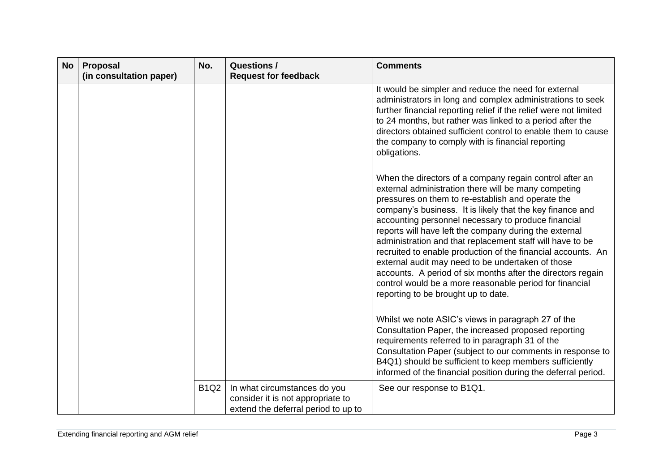| <b>No</b> | Proposal<br>(in consultation paper) | No.         | <b>Questions /</b><br><b>Request for feedback</b>                                                        | <b>Comments</b>                                                                                                                                                                                                                                                                                                                                                                                                                                                                                                                                                                                                                                                                                       |
|-----------|-------------------------------------|-------------|----------------------------------------------------------------------------------------------------------|-------------------------------------------------------------------------------------------------------------------------------------------------------------------------------------------------------------------------------------------------------------------------------------------------------------------------------------------------------------------------------------------------------------------------------------------------------------------------------------------------------------------------------------------------------------------------------------------------------------------------------------------------------------------------------------------------------|
|           |                                     |             |                                                                                                          | It would be simpler and reduce the need for external<br>administrators in long and complex administrations to seek<br>further financial reporting relief if the relief were not limited<br>to 24 months, but rather was linked to a period after the<br>directors obtained sufficient control to enable them to cause<br>the company to comply with is financial reporting<br>obligations.                                                                                                                                                                                                                                                                                                            |
|           |                                     |             |                                                                                                          | When the directors of a company regain control after an<br>external administration there will be many competing<br>pressures on them to re-establish and operate the<br>company's business. It is likely that the key finance and<br>accounting personnel necessary to produce financial<br>reports will have left the company during the external<br>administration and that replacement staff will have to be<br>recruited to enable production of the financial accounts. An<br>external audit may need to be undertaken of those<br>accounts. A period of six months after the directors regain<br>control would be a more reasonable period for financial<br>reporting to be brought up to date. |
|           |                                     |             |                                                                                                          | Whilst we note ASIC's views in paragraph 27 of the<br>Consultation Paper, the increased proposed reporting<br>requirements referred to in paragraph 31 of the<br>Consultation Paper (subject to our comments in response to<br>B4Q1) should be sufficient to keep members sufficiently<br>informed of the financial position during the deferral period.                                                                                                                                                                                                                                                                                                                                              |
|           |                                     | <b>B1Q2</b> | In what circumstances do you<br>consider it is not appropriate to<br>extend the deferral period to up to | See our response to B1Q1.                                                                                                                                                                                                                                                                                                                                                                                                                                                                                                                                                                                                                                                                             |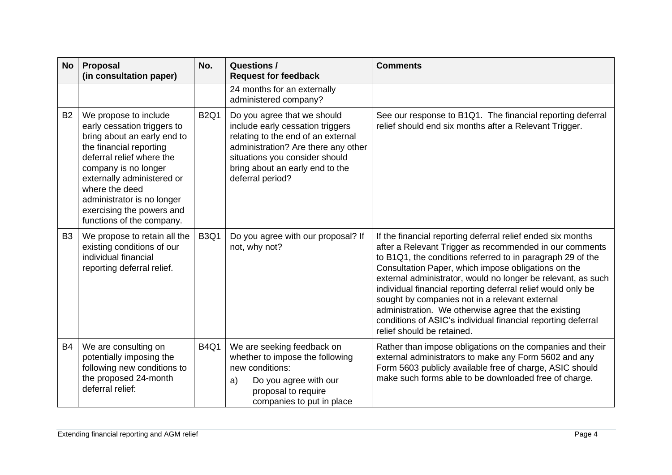| <b>No</b> | Proposal<br>(in consultation paper)                                                                                                                                                                                                                                                                         | No.         | <b>Questions /</b><br><b>Request for feedback</b>                                                                                                                                                                                     | <b>Comments</b>                                                                                                                                                                                                                                                                                                                                                                                                                                                                                                                                                                     |
|-----------|-------------------------------------------------------------------------------------------------------------------------------------------------------------------------------------------------------------------------------------------------------------------------------------------------------------|-------------|---------------------------------------------------------------------------------------------------------------------------------------------------------------------------------------------------------------------------------------|-------------------------------------------------------------------------------------------------------------------------------------------------------------------------------------------------------------------------------------------------------------------------------------------------------------------------------------------------------------------------------------------------------------------------------------------------------------------------------------------------------------------------------------------------------------------------------------|
|           |                                                                                                                                                                                                                                                                                                             |             | 24 months for an externally<br>administered company?                                                                                                                                                                                  |                                                                                                                                                                                                                                                                                                                                                                                                                                                                                                                                                                                     |
| <b>B2</b> | We propose to include<br>early cessation triggers to<br>bring about an early end to<br>the financial reporting<br>deferral relief where the<br>company is no longer<br>externally administered or<br>where the deed<br>administrator is no longer<br>exercising the powers and<br>functions of the company. | <b>B2Q1</b> | Do you agree that we should<br>include early cessation triggers<br>relating to the end of an external<br>administration? Are there any other<br>situations you consider should<br>bring about an early end to the<br>deferral period? | See our response to B1Q1. The financial reporting deferral<br>relief should end six months after a Relevant Trigger.                                                                                                                                                                                                                                                                                                                                                                                                                                                                |
| <b>B3</b> | We propose to retain all the<br>existing conditions of our<br>individual financial<br>reporting deferral relief.                                                                                                                                                                                            | <b>B3Q1</b> | Do you agree with our proposal? If<br>not, why not?                                                                                                                                                                                   | If the financial reporting deferral relief ended six months<br>after a Relevant Trigger as recommended in our comments<br>to B1Q1, the conditions referred to in paragraph 29 of the<br>Consultation Paper, which impose obligations on the<br>external administrator, would no longer be relevant, as such<br>individual financial reporting deferral relief would only be<br>sought by companies not in a relevant external<br>administration. We otherwise agree that the existing<br>conditions of ASIC's individual financial reporting deferral<br>relief should be retained. |
| <b>B4</b> | We are consulting on<br>potentially imposing the<br>following new conditions to<br>the proposed 24-month<br>deferral relief:                                                                                                                                                                                | <b>B4Q1</b> | We are seeking feedback on<br>whether to impose the following<br>new conditions:<br>Do you agree with our<br>a)<br>proposal to require<br>companies to put in place                                                                   | Rather than impose obligations on the companies and their<br>external administrators to make any Form 5602 and any<br>Form 5603 publicly available free of charge, ASIC should<br>make such forms able to be downloaded free of charge.                                                                                                                                                                                                                                                                                                                                             |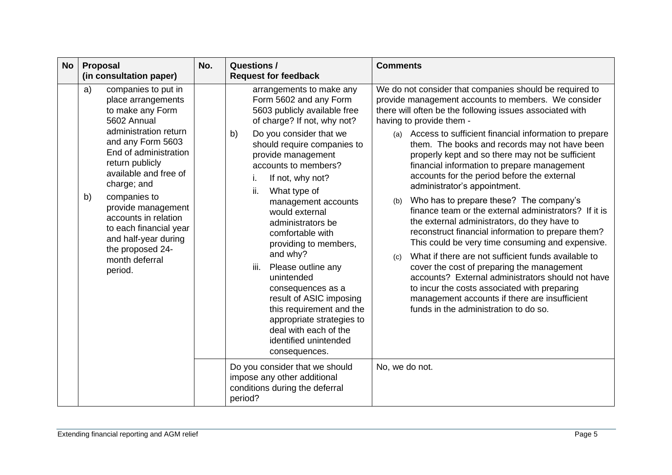| <b>No</b> | <b>Proposal</b><br>(in consultation paper)                                                                                                                                                                                                                                                                                                                                                  | No. | <b>Questions /</b><br><b>Request for feedback</b>                                                                                                                                                                                                                                                                                                                                                                                                                                                                                                                                                                               | <b>Comments</b>                                                                                                                                                                                                                                                                                                                                                                                                                                                                                                                                                                                                                                                                                                                                                                                                                                                                                                                                                                                                                                                                           |
|-----------|---------------------------------------------------------------------------------------------------------------------------------------------------------------------------------------------------------------------------------------------------------------------------------------------------------------------------------------------------------------------------------------------|-----|---------------------------------------------------------------------------------------------------------------------------------------------------------------------------------------------------------------------------------------------------------------------------------------------------------------------------------------------------------------------------------------------------------------------------------------------------------------------------------------------------------------------------------------------------------------------------------------------------------------------------------|-------------------------------------------------------------------------------------------------------------------------------------------------------------------------------------------------------------------------------------------------------------------------------------------------------------------------------------------------------------------------------------------------------------------------------------------------------------------------------------------------------------------------------------------------------------------------------------------------------------------------------------------------------------------------------------------------------------------------------------------------------------------------------------------------------------------------------------------------------------------------------------------------------------------------------------------------------------------------------------------------------------------------------------------------------------------------------------------|
|           | companies to put in<br>a)<br>place arrangements<br>to make any Form<br>5602 Annual<br>administration return<br>and any Form 5603<br>End of administration<br>return publicly<br>available and free of<br>charge; and<br>companies to<br>b)<br>provide management<br>accounts in relation<br>to each financial year<br>and half-year during<br>the proposed 24-<br>month deferral<br>period. |     | arrangements to make any<br>Form 5602 and any Form<br>5603 publicly available free<br>of charge? If not, why not?<br>Do you consider that we<br>b)<br>should require companies to<br>provide management<br>accounts to members?<br>If not, why not?<br>i.<br>ii.<br>What type of<br>management accounts<br>would external<br>administrators be<br>comfortable with<br>providing to members,<br>and why?<br>Please outline any<br>iii.<br>unintended<br>consequences as a<br>result of ASIC imposing<br>this requirement and the<br>appropriate strategies to<br>deal with each of the<br>identified unintended<br>consequences. | We do not consider that companies should be required to<br>provide management accounts to members. We consider<br>there will often be the following issues associated with<br>having to provide them -<br>Access to sufficient financial information to prepare<br>(a)<br>them. The books and records may not have been<br>properly kept and so there may not be sufficient<br>financial information to prepare management<br>accounts for the period before the external<br>administrator's appointment.<br>Who has to prepare these? The company's<br>(b)<br>finance team or the external administrators? If it is<br>the external administrators, do they have to<br>reconstruct financial information to prepare them?<br>This could be very time consuming and expensive.<br>What if there are not sufficient funds available to<br>(c)<br>cover the cost of preparing the management<br>accounts? External administrators should not have<br>to incur the costs associated with preparing<br>management accounts if there are insufficient<br>funds in the administration to do so. |
|           |                                                                                                                                                                                                                                                                                                                                                                                             |     | Do you consider that we should<br>impose any other additional<br>conditions during the deferral<br>period?                                                                                                                                                                                                                                                                                                                                                                                                                                                                                                                      | No, we do not.                                                                                                                                                                                                                                                                                                                                                                                                                                                                                                                                                                                                                                                                                                                                                                                                                                                                                                                                                                                                                                                                            |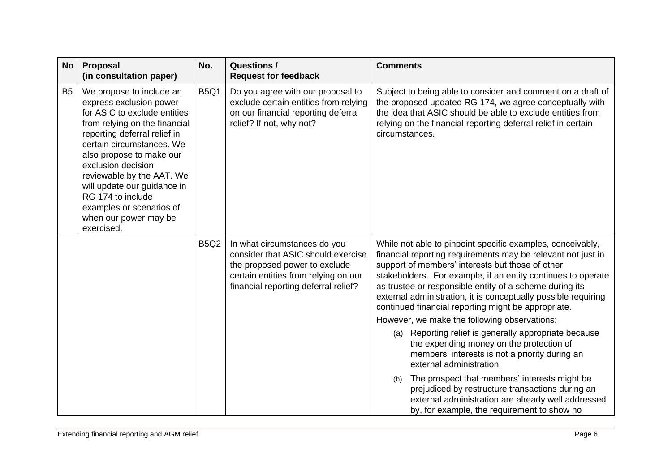| <b>No</b>      | Proposal<br>(in consultation paper)                                                                                                                                                                                                                                                                                                                                                     | No.         | <b>Questions /</b><br><b>Request for feedback</b>                                                                                                                                   | <b>Comments</b>                                                                                                                                                                                                                                                                                                                                                                                                                                                                                                                                                                                                                                                                                                                                                                                                                                                                        |
|----------------|-----------------------------------------------------------------------------------------------------------------------------------------------------------------------------------------------------------------------------------------------------------------------------------------------------------------------------------------------------------------------------------------|-------------|-------------------------------------------------------------------------------------------------------------------------------------------------------------------------------------|----------------------------------------------------------------------------------------------------------------------------------------------------------------------------------------------------------------------------------------------------------------------------------------------------------------------------------------------------------------------------------------------------------------------------------------------------------------------------------------------------------------------------------------------------------------------------------------------------------------------------------------------------------------------------------------------------------------------------------------------------------------------------------------------------------------------------------------------------------------------------------------|
| B <sub>5</sub> | We propose to include an<br>express exclusion power<br>for ASIC to exclude entities<br>from relying on the financial<br>reporting deferral relief in<br>certain circumstances. We<br>also propose to make our<br>exclusion decision<br>reviewable by the AAT. We<br>will update our guidance in<br>RG 174 to include<br>examples or scenarios of<br>when our power may be<br>exercised. | <b>B5Q1</b> | Do you agree with our proposal to<br>exclude certain entities from relying<br>on our financial reporting deferral<br>relief? If not, why not?                                       | Subject to being able to consider and comment on a draft of<br>the proposed updated RG 174, we agree conceptually with<br>the idea that ASIC should be able to exclude entities from<br>relying on the financial reporting deferral relief in certain<br>circumstances.                                                                                                                                                                                                                                                                                                                                                                                                                                                                                                                                                                                                                |
|                |                                                                                                                                                                                                                                                                                                                                                                                         | <b>B5Q2</b> | In what circumstances do you<br>consider that ASIC should exercise<br>the proposed power to exclude<br>certain entities from relying on our<br>financial reporting deferral relief? | While not able to pinpoint specific examples, conceivably,<br>financial reporting requirements may be relevant not just in<br>support of members' interests but those of other<br>stakeholders. For example, if an entity continues to operate<br>as trustee or responsible entity of a scheme during its<br>external administration, it is conceptually possible requiring<br>continued financial reporting might be appropriate.<br>However, we make the following observations:<br>(a) Reporting relief is generally appropriate because<br>the expending money on the protection of<br>members' interests is not a priority during an<br>external administration.<br>The prospect that members' interests might be<br>(b)<br>prejudiced by restructure transactions during an<br>external administration are already well addressed<br>by, for example, the requirement to show no |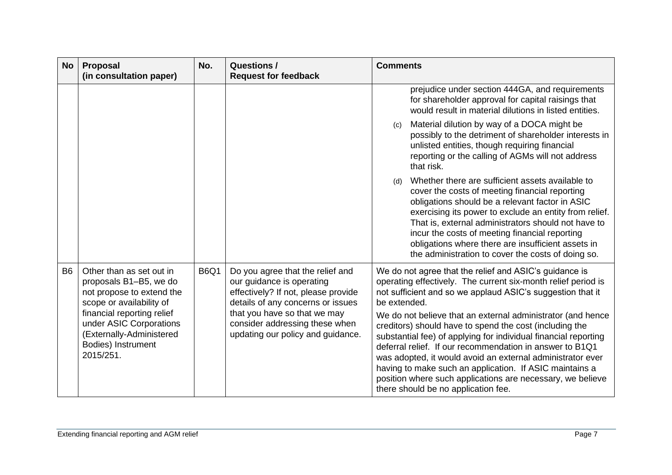| <b>No</b> | <b>Proposal</b><br>(in consultation paper)                                                                                                | No.         | <b>Questions /</b><br><b>Request for feedback</b>                                                                                                                         | <b>Comments</b>                                                                                                                                                                                                                                                                                                                                                                                                                                                                     |
|-----------|-------------------------------------------------------------------------------------------------------------------------------------------|-------------|---------------------------------------------------------------------------------------------------------------------------------------------------------------------------|-------------------------------------------------------------------------------------------------------------------------------------------------------------------------------------------------------------------------------------------------------------------------------------------------------------------------------------------------------------------------------------------------------------------------------------------------------------------------------------|
|           |                                                                                                                                           |             |                                                                                                                                                                           | prejudice under section 444GA, and requirements<br>for shareholder approval for capital raisings that<br>would result in material dilutions in listed entities.                                                                                                                                                                                                                                                                                                                     |
|           |                                                                                                                                           |             |                                                                                                                                                                           | Material dilution by way of a DOCA might be<br>(c)<br>possibly to the detriment of shareholder interests in<br>unlisted entities, though requiring financial<br>reporting or the calling of AGMs will not address<br>that risk.                                                                                                                                                                                                                                                     |
|           |                                                                                                                                           |             |                                                                                                                                                                           | Whether there are sufficient assets available to<br>(d)<br>cover the costs of meeting financial reporting<br>obligations should be a relevant factor in ASIC<br>exercising its power to exclude an entity from relief.<br>That is, external administrators should not have to<br>incur the costs of meeting financial reporting<br>obligations where there are insufficient assets in<br>the administration to cover the costs of doing so.                                         |
| <b>B6</b> | Other than as set out in<br>proposals B1-B5, we do<br>not propose to extend the<br>scope or availability of<br>financial reporting relief | <b>B6Q1</b> | Do you agree that the relief and<br>our guidance is operating<br>effectively? If not, please provide<br>details of any concerns or issues<br>that you have so that we may | We do not agree that the relief and ASIC's guidance is<br>operating effectively. The current six-month relief period is<br>not sufficient and so we applaud ASIC's suggestion that it<br>be extended.                                                                                                                                                                                                                                                                               |
|           | under ASIC Corporations<br>(Externally-Administered<br>Bodies) Instrument<br>2015/251.                                                    |             | consider addressing these when<br>updating our policy and guidance.                                                                                                       | We do not believe that an external administrator (and hence<br>creditors) should have to spend the cost (including the<br>substantial fee) of applying for individual financial reporting<br>deferral relief. If our recommendation in answer to B1Q1<br>was adopted, it would avoid an external administrator ever<br>having to make such an application. If ASIC maintains a<br>position where such applications are necessary, we believe<br>there should be no application fee. |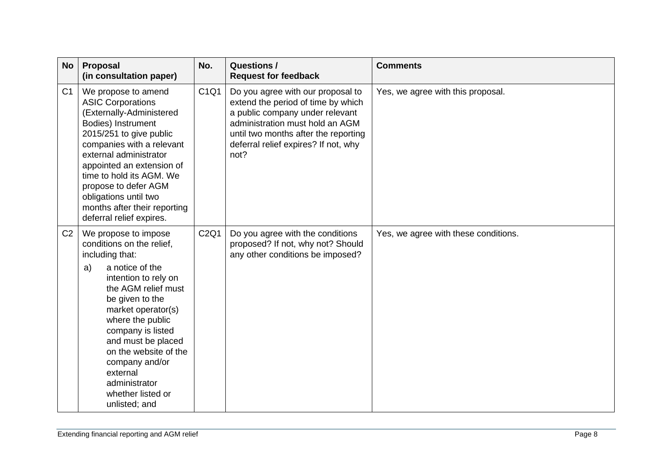| <b>No</b>      | Proposal<br>(in consultation paper)                                                                                                                                                                                                                                                                                                                                | No.  | <b>Questions /</b><br><b>Request for feedback</b>                                                                                                                                                                                     | <b>Comments</b>                      |
|----------------|--------------------------------------------------------------------------------------------------------------------------------------------------------------------------------------------------------------------------------------------------------------------------------------------------------------------------------------------------------------------|------|---------------------------------------------------------------------------------------------------------------------------------------------------------------------------------------------------------------------------------------|--------------------------------------|
| C <sub>1</sub> | We propose to amend<br><b>ASIC Corporations</b><br>(Externally-Administered<br>Bodies) Instrument<br>2015/251 to give public<br>companies with a relevant<br>external administrator<br>appointed an extension of<br>time to hold its AGM. We<br>propose to defer AGM<br>obligations until two<br>months after their reporting<br>deferral relief expires.          | C1Q1 | Do you agree with our proposal to<br>extend the period of time by which<br>a public company under relevant<br>administration must hold an AGM<br>until two months after the reporting<br>deferral relief expires? If not, why<br>not? | Yes, we agree with this proposal.    |
| C <sub>2</sub> | We propose to impose<br>conditions on the relief,<br>including that:<br>a notice of the<br>a)<br>intention to rely on<br>the AGM relief must<br>be given to the<br>market operator(s)<br>where the public<br>company is listed<br>and must be placed<br>on the website of the<br>company and/or<br>external<br>administrator<br>whether listed or<br>unlisted; and | C2Q1 | Do you agree with the conditions<br>proposed? If not, why not? Should<br>any other conditions be imposed?                                                                                                                             | Yes, we agree with these conditions. |